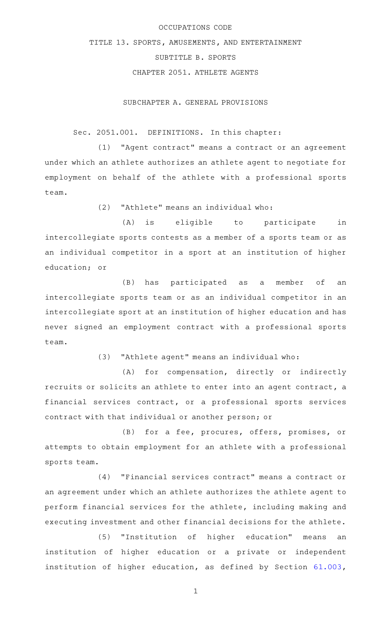## OCCUPATIONS CODE

# TITLE 13. SPORTS, AMUSEMENTS, AND ENTERTAINMENT

SUBTITLE B. SPORTS

CHAPTER 2051. ATHLETE AGENTS

SUBCHAPTER A. GENERAL PROVISIONS

# Sec. 2051.001. DEFINITIONS. In this chapter:

(1) "Agent contract" means a contract or an agreement under which an athlete authorizes an athlete agent to negotiate for employment on behalf of the athlete with a professional sports team.

 $(2)$  "Athlete" means an individual who:

(A) is eligible to participate in intercollegiate sports contests as a member of a sports team or as an individual competitor in a sport at an institution of higher education; or

(B) has participated as a member of an intercollegiate sports team or as an individual competitor in an intercollegiate sport at an institution of higher education and has never signed an employment contract with a professional sports team.

 $(3)$  "Athlete agent" means an individual who:

(A) for compensation, directly or indirectly recruits or solicits an athlete to enter into an agent contract, a financial services contract, or a professional sports services contract with that individual or another person; or

(B) for a fee, procures, offers, promises, or attempts to obtain employment for an athlete with a professional sports team.

(4) "Financial services contract" means a contract or an agreement under which an athlete authorizes the athlete agent to perform financial services for the athlete, including making and executing investment and other financial decisions for the athlete.

(5) "Institution of higher education" means an institution of higher education or a private or independent institution of higher education, as defined by Section [61.003](http://www.statutes.legis.state.tx.us/GetStatute.aspx?Code=ED&Value=61.003),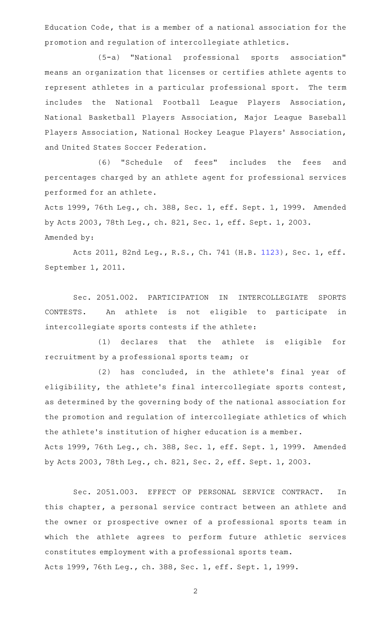Education Code, that is a member of a national association for the promotion and regulation of intercollegiate athletics.

(5-a) "National professional sports association" means an organization that licenses or certifies athlete agents to represent athletes in a particular professional sport. The term includes the National Football League Players Association, National Basketball Players Association, Major League Baseball Players Association, National Hockey League Players' Association, and United States Soccer Federation.

(6) "Schedule of fees" includes the fees and percentages charged by an athlete agent for professional services performed for an athlete.

Acts 1999, 76th Leg., ch. 388, Sec. 1, eff. Sept. 1, 1999. Amended by Acts 2003, 78th Leg., ch. 821, Sec. 1, eff. Sept. 1, 2003. Amended by:

Acts 2011, 82nd Leg., R.S., Ch. 741 (H.B. [1123](http://www.legis.state.tx.us/tlodocs/82R/billtext/html/HB01123F.HTM)), Sec. 1, eff. September 1, 2011.

Sec. 2051.002. PARTICIPATION IN INTERCOLLEGIATE SPORTS CONTESTS. An athlete is not eligible to participate in intercollegiate sports contests if the athlete:

(1) declares that the athlete is eligible for recruitment by a professional sports team; or

(2) has concluded, in the athlete's final year of eligibility, the athlete's final intercollegiate sports contest, as determined by the governing body of the national association for the promotion and regulation of intercollegiate athletics of which the athlete 's institution of higher education is a member. Acts 1999, 76th Leg., ch. 388, Sec. 1, eff. Sept. 1, 1999. Amended by Acts 2003, 78th Leg., ch. 821, Sec. 2, eff. Sept. 1, 2003.

Sec. 2051.003. EFFECT OF PERSONAL SERVICE CONTRACT. In this chapter, a personal service contract between an athlete and the owner or prospective owner of a professional sports team in which the athlete agrees to perform future athletic services constitutes employment with a professional sports team. Acts 1999, 76th Leg., ch. 388, Sec. 1, eff. Sept. 1, 1999.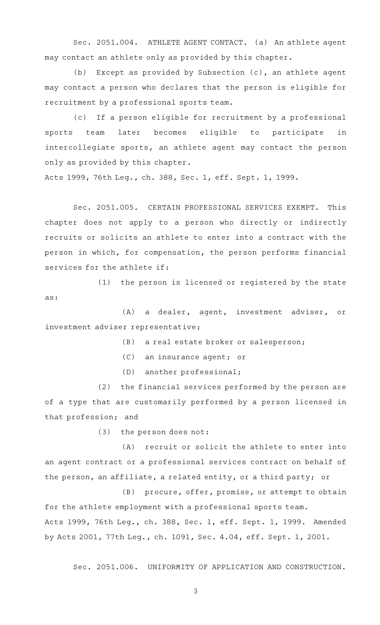Sec. 2051.004. ATHLETE AGENT CONTACT. (a) An athlete agent may contact an athlete only as provided by this chapter.

(b) Except as provided by Subsection  $(c)$ , an athlete agent may contact a person who declares that the person is eligible for recruitment by a professional sports team.

(c) If a person eligible for recruitment by a professional sports team later becomes eligible to participate in intercollegiate sports, an athlete agent may contact the person only as provided by this chapter.

Acts 1999, 76th Leg., ch. 388, Sec. 1, eff. Sept. 1, 1999.

Sec. 2051.005. CERTAIN PROFESSIONAL SERVICES EXEMPT. This chapter does not apply to a person who directly or indirectly recruits or solicits an athlete to enter into a contract with the person in which, for compensation, the person performs financial services for the athlete if:

(1) the person is licensed or registered by the state as:

(A) a dealer, agent, investment adviser, or investment adviser representative;

- (B) a real estate broker or salesperson;
- (C) an insurance agent; or
- (D) another professional;

(2) the financial services performed by the person are of a type that are customarily performed by a person licensed in that profession; and

(3) the person does not:

(A) recruit or solicit the athlete to enter into an agent contract or a professional services contract on behalf of the person, an affiliate, a related entity, or a third party; or

(B) procure, offer, promise, or attempt to obtain for the athlete employment with a professional sports team. Acts 1999, 76th Leg., ch. 388, Sec. 1, eff. Sept. 1, 1999. Amended by Acts 2001, 77th Leg., ch. 1091, Sec. 4.04, eff. Sept. 1, 2001.

Sec. 2051.006. UNIFORMITY OF APPLICATION AND CONSTRUCTION.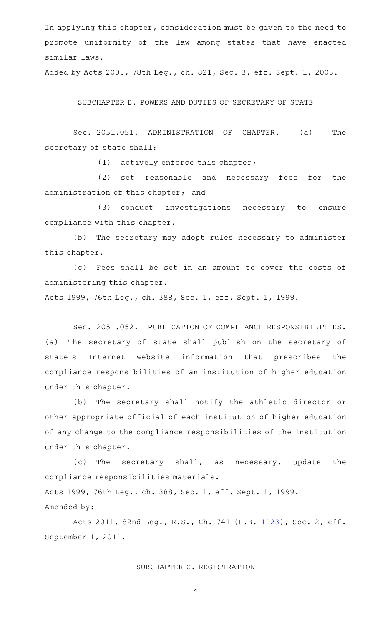In applying this chapter, consideration must be given to the need to promote uniformity of the law among states that have enacted similar laws.

Added by Acts 2003, 78th Leg., ch. 821, Sec. 3, eff. Sept. 1, 2003.

SUBCHAPTER B. POWERS AND DUTIES OF SECRETARY OF STATE

Sec. 2051.051. ADMINISTRATION OF CHAPTER. (a) The secretary of state shall:

 $(1)$  actively enforce this chapter;

(2) set reasonable and necessary fees for the administration of this chapter; and

(3) conduct investigations necessary to ensure compliance with this chapter.

(b) The secretary may adopt rules necessary to administer this chapter.

(c) Fees shall be set in an amount to cover the costs of administering this chapter.

Acts 1999, 76th Leg., ch. 388, Sec. 1, eff. Sept. 1, 1999.

Sec. 2051.052. PUBLICATION OF COMPLIANCE RESPONSIBILITIES. (a) The secretary of state shall publish on the secretary of state's Internet website information that prescribes the compliance responsibilities of an institution of higher education under this chapter.

(b) The secretary shall notify the athletic director or other appropriate official of each institution of higher education of any change to the compliance responsibilities of the institution under this chapter.

(c) The secretary shall, as necessary, update the compliance responsibilities materials. Acts 1999, 76th Leg., ch. 388, Sec. 1, eff. Sept. 1, 1999. Amended by:

Acts 2011, 82nd Leg., R.S., Ch. 741 (H.B. [1123](http://www.legis.state.tx.us/tlodocs/82R/billtext/html/HB01123F.HTM)), Sec. 2, eff. September 1, 2011.

## SUBCHAPTER C. REGISTRATION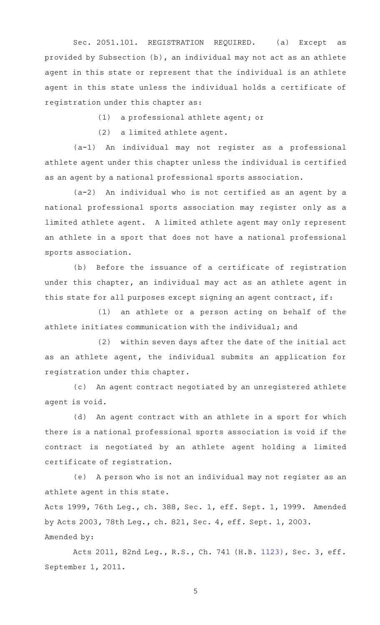Sec. 2051.101. REGISTRATION REQUIRED. (a) Except as provided by Subsection (b), an individual may not act as an athlete agent in this state or represent that the individual is an athlete agent in this state unless the individual holds a certificate of registration under this chapter as:

(1) a professional athlete agent; or

(2) a limited athlete agent.

 $(a-1)$  An individual may not register as a professional athlete agent under this chapter unless the individual is certified as an agent by a national professional sports association.

 $(a-2)$  An individual who is not certified as an agent by a national professional sports association may register only as a limited athlete agent. A limited athlete agent may only represent an athlete in a sport that does not have a national professional sports association.

(b) Before the issuance of a certificate of registration under this chapter, an individual may act as an athlete agent in this state for all purposes except signing an agent contract, if:

 $(1)$  an athlete or a person acting on behalf of the athlete initiates communication with the individual; and

(2) within seven days after the date of the initial act as an athlete agent, the individual submits an application for registration under this chapter.

An agent contract negotiated by an unregistered athlete agent is void.

(d) An agent contract with an athlete in a sport for which there is a national professional sports association is void if the contract is negotiated by an athlete agent holding a limited certificate of registration.

(e) A person who is not an individual may not register as an athlete agent in this state.

Acts 1999, 76th Leg., ch. 388, Sec. 1, eff. Sept. 1, 1999. Amended by Acts 2003, 78th Leg., ch. 821, Sec. 4, eff. Sept. 1, 2003. Amended by:

Acts 2011, 82nd Leg., R.S., Ch. 741 (H.B. [1123](http://www.legis.state.tx.us/tlodocs/82R/billtext/html/HB01123F.HTM)), Sec. 3, eff. September 1, 2011.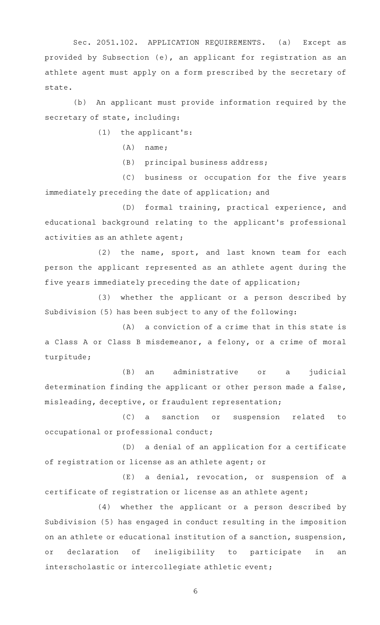Sec. 2051.102. APPLICATION REQUIREMENTS. (a) Except as provided by Subsection (e), an applicant for registration as an athlete agent must apply on a form prescribed by the secretary of state.

(b) An applicant must provide information required by the secretary of state, including:

 $(1)$  the applicant's:

 $(A)$  name;

 $(B)$  principal business address;

(C) business or occupation for the five years immediately preceding the date of application; and

(D) formal training, practical experience, and educational background relating to the applicant 's professional activities as an athlete agent;

(2) the name, sport, and last known team for each person the applicant represented as an athlete agent during the five years immediately preceding the date of application;

(3) whether the applicant or a person described by Subdivision (5) has been subject to any of the following:

 $(A)$  a conviction of a crime that in this state is a Class A or Class B misdemeanor, a felony, or a crime of moral turpitude;

(B) an administrative or a judicial determination finding the applicant or other person made a false, misleading, deceptive, or fraudulent representation;

(C) a sanction or suspension related to occupational or professional conduct;

(D) a denial of an application for a certificate of registration or license as an athlete agent; or

(E) a denial, revocation, or suspension of a certificate of registration or license as an athlete agent;

(4) whether the applicant or a person described by Subdivision (5) has engaged in conduct resulting in the imposition on an athlete or educational institution of a sanction, suspension, or declaration of ineligibility to participate in an interscholastic or intercollegiate athletic event;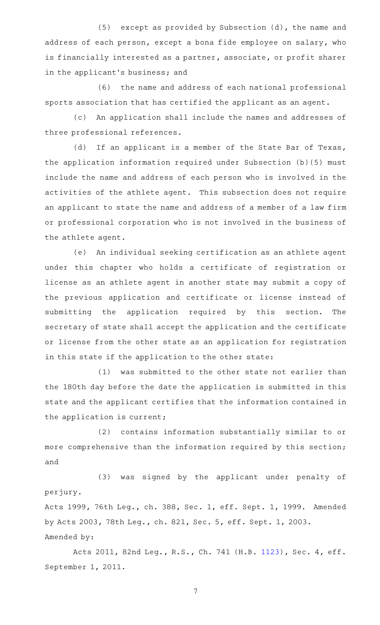(5) except as provided by Subsection  $(d)$ , the name and address of each person, except a bona fide employee on salary, who is financially interested as a partner, associate, or profit sharer in the applicant 's business; and

(6) the name and address of each national professional sports association that has certified the applicant as an agent.

(c) An application shall include the names and addresses of three professional references.

(d) If an applicant is a member of the State Bar of Texas, the application information required under Subsection (b)(5) must include the name and address of each person who is involved in the activities of the athlete agent. This subsection does not require an applicant to state the name and address of a member of a law firm or professional corporation who is not involved in the business of the athlete agent.

(e) An individual seeking certification as an athlete agent under this chapter who holds a certificate of registration or license as an athlete agent in another state may submit a copy of the previous application and certificate or license instead of submitting the application required by this section. The secretary of state shall accept the application and the certificate or license from the other state as an application for registration in this state if the application to the other state:

(1) was submitted to the other state not earlier than the 180th day before the date the application is submitted in this state and the applicant certifies that the information contained in the application is current;

(2) contains information substantially similar to or more comprehensive than the information required by this section; and

(3) was signed by the applicant under penalty of perjury.

Acts 1999, 76th Leg., ch. 388, Sec. 1, eff. Sept. 1, 1999. Amended by Acts 2003, 78th Leg., ch. 821, Sec. 5, eff. Sept. 1, 2003. Amended by:

Acts 2011, 82nd Leg., R.S., Ch. 741 (H.B. [1123](http://www.legis.state.tx.us/tlodocs/82R/billtext/html/HB01123F.HTM)), Sec. 4, eff. September 1, 2011.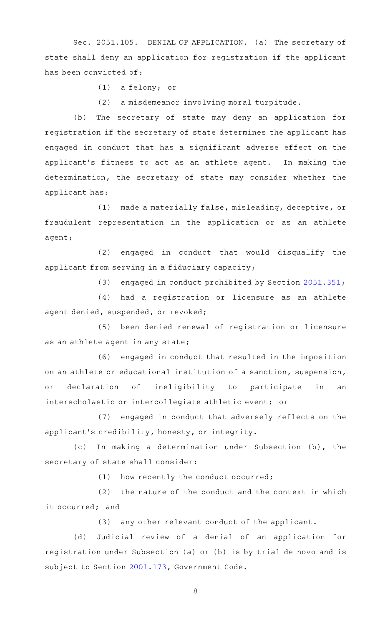Sec. 2051.105. DENIAL OF APPLICATION. (a) The secretary of state shall deny an application for registration if the applicant has been convicted of:

 $(1)$  a felony; or

(2) a misdemeanor involving moral turpitude.

(b) The secretary of state may deny an application for registration if the secretary of state determines the applicant has engaged in conduct that has a significant adverse effect on the applicant 's fitness to act as an athlete agent. In making the determination, the secretary of state may consider whether the applicant has:

(1) made a materially false, misleading, deceptive, or fraudulent representation in the application or as an athlete agent;

(2) engaged in conduct that would disqualify the applicant from serving in a fiduciary capacity;

(3) engaged in conduct prohibited by Section  $2051.351$ ;

(4) had a registration or licensure as an athlete agent denied, suspended, or revoked;

(5) been denied renewal of registration or licensure as an athlete agent in any state;

(6) engaged in conduct that resulted in the imposition on an athlete or educational institution of a sanction, suspension, or declaration of ineligibility to participate in an interscholastic or intercollegiate athletic event; or

(7) engaged in conduct that adversely reflects on the applicant 's credibility, honesty, or integrity.

(c) In making a determination under Subsection (b), the secretary of state shall consider:

 $(1)$  how recently the conduct occurred;

 $(2)$  the nature of the conduct and the context in which it occurred; and

(3) any other relevant conduct of the applicant.

(d) Judicial review of a denial of an application for registration under Subsection (a) or (b) is by trial de novo and is subject to Section [2001.173](http://www.statutes.legis.state.tx.us/GetStatute.aspx?Code=GV&Value=2001.173), Government Code.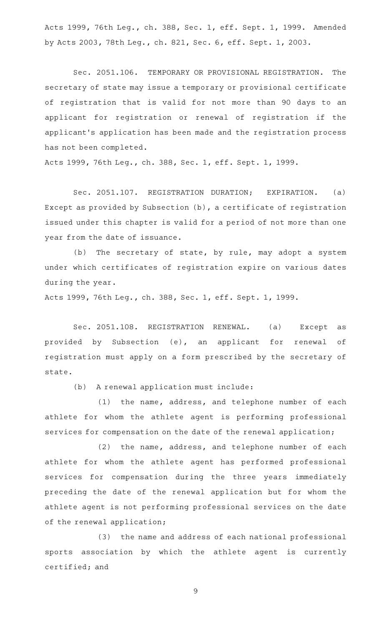Acts 1999, 76th Leg., ch. 388, Sec. 1, eff. Sept. 1, 1999. Amended by Acts 2003, 78th Leg., ch. 821, Sec. 6, eff. Sept. 1, 2003.

Sec. 2051.106. TEMPORARY OR PROVISIONAL REGISTRATION. The secretary of state may issue a temporary or provisional certificate of registration that is valid for not more than 90 days to an applicant for registration or renewal of registration if the applicant 's application has been made and the registration process has not been completed.

Acts 1999, 76th Leg., ch. 388, Sec. 1, eff. Sept. 1, 1999.

Sec. 2051.107. REGISTRATION DURATION; EXPIRATION. (a) Except as provided by Subsection (b), a certificate of registration issued under this chapter is valid for a period of not more than one year from the date of issuance.

(b) The secretary of state, by rule, may adopt a system under which certificates of registration expire on various dates during the year.

Acts 1999, 76th Leg., ch. 388, Sec. 1, eff. Sept. 1, 1999.

Sec. 2051.108. REGISTRATION RENEWAL. (a) Except as provided by Subsection (e), an applicant for renewal of registration must apply on a form prescribed by the secretary of state.

(b) A renewal application must include:

 $(1)$  the name, address, and telephone number of each athlete for whom the athlete agent is performing professional services for compensation on the date of the renewal application;

(2) the name, address, and telephone number of each athlete for whom the athlete agent has performed professional services for compensation during the three years immediately preceding the date of the renewal application but for whom the athlete agent is not performing professional services on the date of the renewal application;

(3) the name and address of each national professional sports association by which the athlete agent is currently certified; and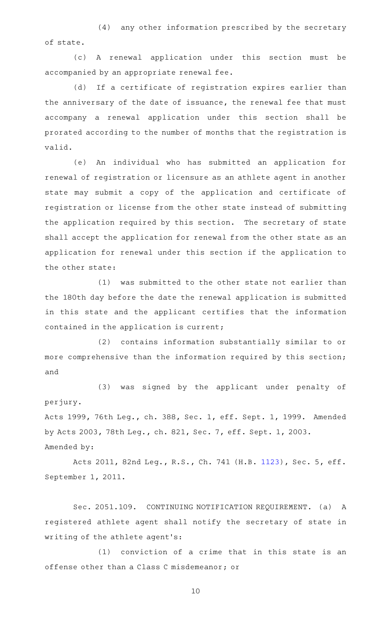(4) any other information prescribed by the secretary of state.

(c)AAA renewal application under this section must be accompanied by an appropriate renewal fee.

(d) If a certificate of registration expires earlier than the anniversary of the date of issuance, the renewal fee that must accompany a renewal application under this section shall be prorated according to the number of months that the registration is valid.

(e) An individual who has submitted an application for renewal of registration or licensure as an athlete agent in another state may submit a copy of the application and certificate of registration or license from the other state instead of submitting the application required by this section. The secretary of state shall accept the application for renewal from the other state as an application for renewal under this section if the application to the other state:

(1) was submitted to the other state not earlier than the 180th day before the date the renewal application is submitted in this state and the applicant certifies that the information contained in the application is current;

(2) contains information substantially similar to or more comprehensive than the information required by this section; and

(3) was signed by the applicant under penalty of perjury. Acts 1999, 76th Leg., ch. 388, Sec. 1, eff. Sept. 1, 1999. Amended by Acts 2003, 78th Leg., ch. 821, Sec. 7, eff. Sept. 1, 2003. Amended by:

Acts 2011, 82nd Leg., R.S., Ch. 741 (H.B. [1123](http://www.legis.state.tx.us/tlodocs/82R/billtext/html/HB01123F.HTM)), Sec. 5, eff. September 1, 2011.

Sec. 2051.109. CONTINUING NOTIFICATION REQUIREMENT. (a) A registered athlete agent shall notify the secretary of state in writing of the athlete agent 's:

(1) conviction of a crime that in this state is an offense other than a Class C misdemeanor; or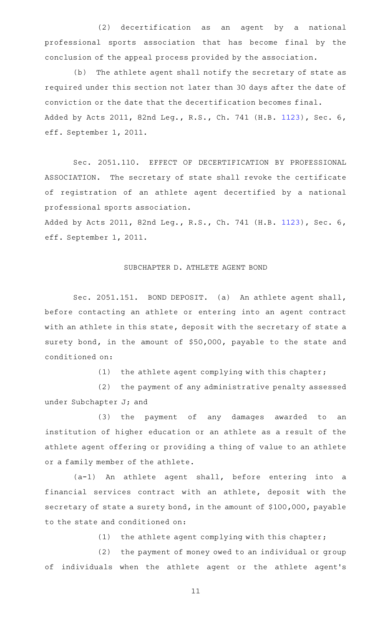(2) decertification as an agent by a national professional sports association that has become final by the conclusion of the appeal process provided by the association.

(b) The athlete agent shall notify the secretary of state as required under this section not later than 30 days after the date of conviction or the date that the decertification becomes final. Added by Acts 2011, 82nd Leg., R.S., Ch. 741 (H.B. [1123](http://www.legis.state.tx.us/tlodocs/82R/billtext/html/HB01123F.HTM)), Sec. 6, eff. September 1, 2011.

Sec. 2051.110. EFFECT OF DECERTIFICATION BY PROFESSIONAL ASSOCIATION. The secretary of state shall revoke the certificate of registration of an athlete agent decertified by a national professional sports association.

Added by Acts 2011, 82nd Leg., R.S., Ch. 741 (H.B. [1123](http://www.legis.state.tx.us/tlodocs/82R/billtext/html/HB01123F.HTM)), Sec. 6, eff. September 1, 2011.

## SUBCHAPTER D. ATHLETE AGENT BOND

Sec. 2051.151. BOND DEPOSIT. (a) An athlete agent shall, before contacting an athlete or entering into an agent contract with an athlete in this state, deposit with the secretary of state a surety bond, in the amount of \$50,000, payable to the state and conditioned on:

(1) the athlete agent complying with this chapter;

(2) the payment of any administrative penalty assessed under Subchapter J; and

(3) the payment of any damages awarded to an institution of higher education or an athlete as a result of the athlete agent offering or providing a thing of value to an athlete or a family member of the athlete.

 $(a-1)$  An athlete agent shall, before entering into a financial services contract with an athlete, deposit with the secretary of state a surety bond, in the amount of \$100,000, payable to the state and conditioned on:

(1) the athlete agent complying with this chapter;

(2) the payment of money owed to an individual or group of individuals when the athlete agent or the athlete agent 's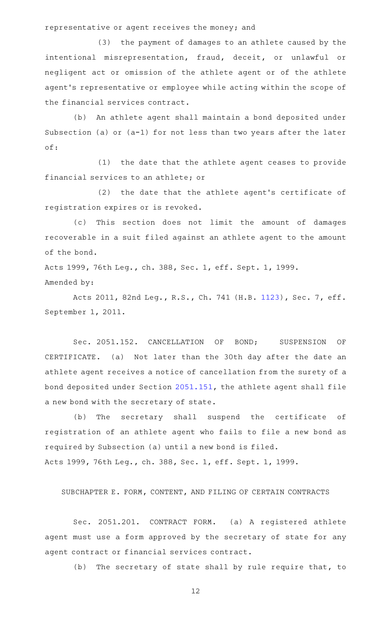representative or agent receives the money; and

(3) the payment of damages to an athlete caused by the intentional misrepresentation, fraud, deceit, or unlawful or negligent act or omission of the athlete agent or of the athlete agent 's representative or employee while acting within the scope of the financial services contract.

(b) An athlete agent shall maintain a bond deposited under Subsection (a) or (a-1) for not less than two years after the later of:

(1) the date that the athlete agent ceases to provide financial services to an athlete; or

(2) the date that the athlete agent's certificate of registration expires or is revoked.

(c) This section does not limit the amount of damages recoverable in a suit filed against an athlete agent to the amount of the bond.

Acts 1999, 76th Leg., ch. 388, Sec. 1, eff. Sept. 1, 1999. Amended by:

Acts 2011, 82nd Leg., R.S., Ch. 741 (H.B. [1123](http://www.legis.state.tx.us/tlodocs/82R/billtext/html/HB01123F.HTM)), Sec. 7, eff. September 1, 2011.

Sec. 2051.152. CANCELLATION OF BOND; SUSPENSION OF CERTIFICATE. (a) Not later than the 30th day after the date an athlete agent receives a notice of cancellation from the surety of a bond deposited under Section [2051.151](http://www.statutes.legis.state.tx.us/GetStatute.aspx?Code=OC&Value=2051.151), the athlete agent shall file a new bond with the secretary of state.

(b) The secretary shall suspend the certificate of registration of an athlete agent who fails to file a new bond as required by Subsection (a) until a new bond is filed. Acts 1999, 76th Leg., ch. 388, Sec. 1, eff. Sept. 1, 1999.

SUBCHAPTER E. FORM, CONTENT, AND FILING OF CERTAIN CONTRACTS

Sec. 2051.201. CONTRACT FORM. (a) A registered athlete agent must use a form approved by the secretary of state for any agent contract or financial services contract.

(b) The secretary of state shall by rule require that, to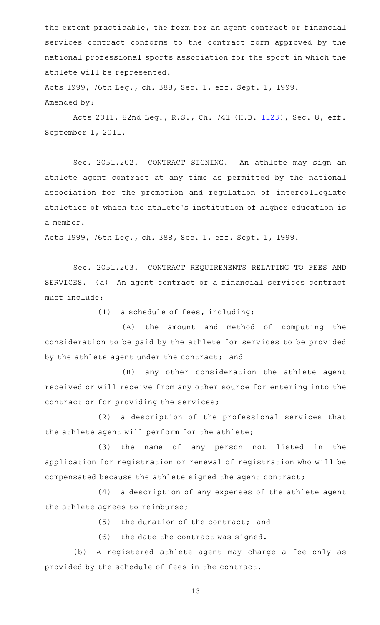the extent practicable, the form for an agent contract or financial services contract conforms to the contract form approved by the national professional sports association for the sport in which the athlete will be represented.

Acts 1999, 76th Leg., ch. 388, Sec. 1, eff. Sept. 1, 1999. Amended by:

Acts 2011, 82nd Leg., R.S., Ch. 741 (H.B. [1123](http://www.legis.state.tx.us/tlodocs/82R/billtext/html/HB01123F.HTM)), Sec. 8, eff. September 1, 2011.

Sec. 2051.202. CONTRACT SIGNING. An athlete may sign an athlete agent contract at any time as permitted by the national association for the promotion and regulation of intercollegiate athletics of which the athlete 's institution of higher education is a member.

Acts 1999, 76th Leg., ch. 388, Sec. 1, eff. Sept. 1, 1999.

Sec. 2051.203. CONTRACT REQUIREMENTS RELATING TO FEES AND SERVICES. (a) An agent contract or a financial services contract must include:

 $(1)$  a schedule of fees, including:

(A) the amount and method of computing the consideration to be paid by the athlete for services to be provided by the athlete agent under the contract; and

(B) any other consideration the athlete agent received or will receive from any other source for entering into the contract or for providing the services;

(2) a description of the professional services that the athlete agent will perform for the athlete;

(3) the name of any person not listed in the application for registration or renewal of registration who will be compensated because the athlete signed the agent contract;

(4) a description of any expenses of the athlete agent the athlete agrees to reimburse;

 $(5)$  the duration of the contract; and

 $(6)$  the date the contract was signed.

(b) A registered athlete agent may charge a fee only as provided by the schedule of fees in the contract.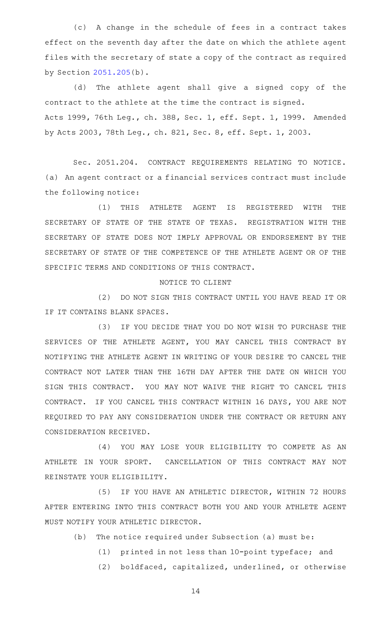(c)AAA change in the schedule of fees in a contract takes effect on the seventh day after the date on which the athlete agent files with the secretary of state a copy of the contract as required by Section [2051.205](http://www.statutes.legis.state.tx.us/GetStatute.aspx?Code=OC&Value=2051.205)(b).

(d) The athlete agent shall give a signed copy of the contract to the athlete at the time the contract is signed. Acts 1999, 76th Leg., ch. 388, Sec. 1, eff. Sept. 1, 1999. Amended by Acts 2003, 78th Leg., ch. 821, Sec. 8, eff. Sept. 1, 2003.

Sec. 2051.204. CONTRACT REQUIREMENTS RELATING TO NOTICE. (a) An agent contract or a financial services contract must include the following notice:

(1) THIS ATHLETE AGENT IS REGISTERED WITH THE SECRETARY OF STATE OF THE STATE OF TEXAS. REGISTRATION WITH THE SECRETARY OF STATE DOES NOT IMPLY APPROVAL OR ENDORSEMENT BY THE SECRETARY OF STATE OF THE COMPETENCE OF THE ATHLETE AGENT OR OF THE SPECIFIC TERMS AND CONDITIONS OF THIS CONTRACT.

#### NOTICE TO CLIENT

(2) DO NOT SIGN THIS CONTRACT UNTIL YOU HAVE READ IT OR IF IT CONTAINS BLANK SPACES.

(3) IF YOU DECIDE THAT YOU DO NOT WISH TO PURCHASE THE SERVICES OF THE ATHLETE AGENT, YOU MAY CANCEL THIS CONTRACT BY NOTIFYING THE ATHLETE AGENT IN WRITING OF YOUR DESIRE TO CANCEL THE CONTRACT NOT LATER THAN THE 16TH DAY AFTER THE DATE ON WHICH YOU SIGN THIS CONTRACT. YOU MAY NOT WAIVE THE RIGHT TO CANCEL THIS CONTRACT. IF YOU CANCEL THIS CONTRACT WITHIN 16 DAYS, YOU ARE NOT REQUIRED TO PAY ANY CONSIDERATION UNDER THE CONTRACT OR RETURN ANY CONSIDERATION RECEIVED.

(4) YOU MAY LOSE YOUR ELIGIBILITY TO COMPETE AS AN ATHLETE IN YOUR SPORT. CANCELLATION OF THIS CONTRACT MAY NOT REINSTATE YOUR ELIGIBILITY.

(5) IF YOU HAVE AN ATHLETIC DIRECTOR, WITHIN 72 HOURS AFTER ENTERING INTO THIS CONTRACT BOTH YOU AND YOUR ATHLETE AGENT MUST NOTIFY YOUR ATHLETIC DIRECTOR.

- $(b)$  The notice required under Subsection (a) must be:
	- (1) printed in not less than 10-point typeface; and
	- (2) boldfaced, capitalized, underlined, or otherwise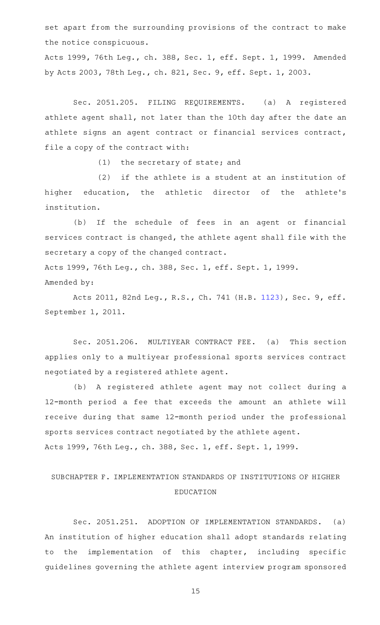set apart from the surrounding provisions of the contract to make the notice conspicuous.

Acts 1999, 76th Leg., ch. 388, Sec. 1, eff. Sept. 1, 1999. Amended by Acts 2003, 78th Leg., ch. 821, Sec. 9, eff. Sept. 1, 2003.

Sec. 2051.205. FILING REQUIREMENTS. (a) A registered athlete agent shall, not later than the 10th day after the date an athlete signs an agent contract or financial services contract, file a copy of the contract with:

 $(1)$  the secretary of state; and

 $(2)$  if the athlete is a student at an institution of higher education, the athletic director of the athlete's institution.

(b) If the schedule of fees in an agent or financial services contract is changed, the athlete agent shall file with the secretary a copy of the changed contract.

Acts 1999, 76th Leg., ch. 388, Sec. 1, eff. Sept. 1, 1999. Amended by:

Acts 2011, 82nd Leg., R.S., Ch. 741 (H.B. [1123](http://www.legis.state.tx.us/tlodocs/82R/billtext/html/HB01123F.HTM)), Sec. 9, eff. September 1, 2011.

Sec. 2051.206. MULTIYEAR CONTRACT FEE. (a) This section applies only to a multiyear professional sports services contract negotiated by a registered athlete agent.

(b) A registered athlete agent may not collect during a 12-month period a fee that exceeds the amount an athlete will receive during that same 12-month period under the professional sports services contract negotiated by the athlete agent. Acts 1999, 76th Leg., ch. 388, Sec. 1, eff. Sept. 1, 1999.

# SUBCHAPTER F. IMPLEMENTATION STANDARDS OF INSTITUTIONS OF HIGHER EDUCATION

Sec. 2051.251. ADOPTION OF IMPLEMENTATION STANDARDS. (a) An institution of higher education shall adopt standards relating to the implementation of this chapter, including specific guidelines governing the athlete agent interview program sponsored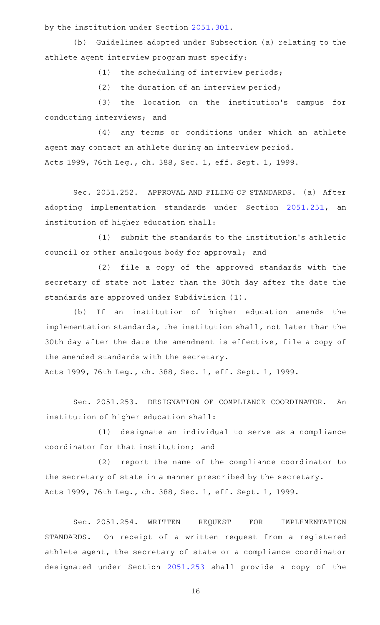by the institution under Section [2051.301.](http://www.statutes.legis.state.tx.us/GetStatute.aspx?Code=OC&Value=2051.301)

(b) Guidelines adopted under Subsection (a) relating to the athlete agent interview program must specify:

 $(1)$  the scheduling of interview periods;

 $(2)$  the duration of an interview period;

(3) the location on the institution's campus for conducting interviews; and

(4) any terms or conditions under which an athlete agent may contact an athlete during an interview period. Acts 1999, 76th Leg., ch. 388, Sec. 1, eff. Sept. 1, 1999.

Sec. 2051.252. APPROVAL AND FILING OF STANDARDS. (a) After adopting implementation standards under Section [2051.251](http://www.statutes.legis.state.tx.us/GetStatute.aspx?Code=OC&Value=2051.251), an institution of higher education shall:

(1) submit the standards to the institution's athletic council or other analogous body for approval; and

(2) file a copy of the approved standards with the secretary of state not later than the 30th day after the date the standards are approved under Subdivision (1).

(b) If an institution of higher education amends the implementation standards, the institution shall, not later than the 30th day after the date the amendment is effective, file a copy of the amended standards with the secretary.

Acts 1999, 76th Leg., ch. 388, Sec. 1, eff. Sept. 1, 1999.

Sec. 2051.253. DESIGNATION OF COMPLIANCE COORDINATOR. An institution of higher education shall:

(1) designate an individual to serve as a compliance coordinator for that institution; and

(2) report the name of the compliance coordinator to the secretary of state in a manner prescribed by the secretary. Acts 1999, 76th Leg., ch. 388, Sec. 1, eff. Sept. 1, 1999.

Sec. 2051.254. WRITTEN REQUEST FOR IMPLEMENTATION STANDARDS. On receipt of a written request from a registered athlete agent, the secretary of state or a compliance coordinator designated under Section [2051.253](http://www.statutes.legis.state.tx.us/GetStatute.aspx?Code=OC&Value=2051.253) shall provide a copy of the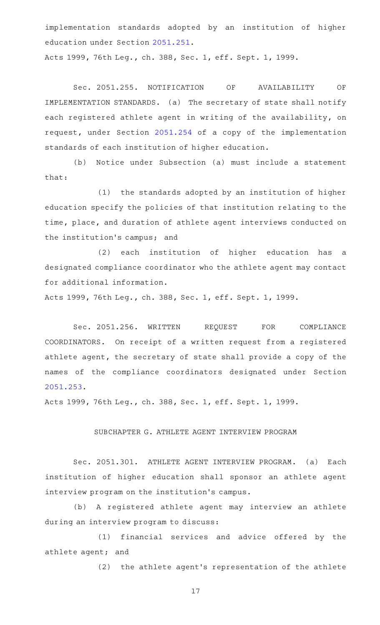implementation standards adopted by an institution of higher education under Section [2051.251.](http://www.statutes.legis.state.tx.us/GetStatute.aspx?Code=OC&Value=2051.251)

Acts 1999, 76th Leg., ch. 388, Sec. 1, eff. Sept. 1, 1999.

Sec. 2051.255. NOTIFICATION OF AVAILABILITY OF IMPLEMENTATION STANDARDS. (a) The secretary of state shall notify each registered athlete agent in writing of the availability, on request, under Section [2051.254](http://www.statutes.legis.state.tx.us/GetStatute.aspx?Code=OC&Value=2051.254) of a copy of the implementation standards of each institution of higher education.

(b) Notice under Subsection (a) must include a statement that:

(1) the standards adopted by an institution of higher education specify the policies of that institution relating to the time, place, and duration of athlete agent interviews conducted on the institution's campus; and

(2) each institution of higher education has a designated compliance coordinator who the athlete agent may contact for additional information.

Acts 1999, 76th Leg., ch. 388, Sec. 1, eff. Sept. 1, 1999.

Sec. 2051.256. WRITTEN REQUEST FOR COMPLIANCE COORDINATORS. On receipt of a written request from a registered athlete agent, the secretary of state shall provide a copy of the names of the compliance coordinators designated under Section [2051.253](http://www.statutes.legis.state.tx.us/GetStatute.aspx?Code=OC&Value=2051.253).

Acts 1999, 76th Leg., ch. 388, Sec. 1, eff. Sept. 1, 1999.

## SUBCHAPTER G. ATHLETE AGENT INTERVIEW PROGRAM

Sec. 2051.301. ATHLETE AGENT INTERVIEW PROGRAM. (a) Each institution of higher education shall sponsor an athlete agent interview program on the institution 's campus.

(b) A registered athlete agent may interview an athlete during an interview program to discuss:

(1) financial services and advice offered by the athlete agent; and

(2) the athlete agent's representation of the athlete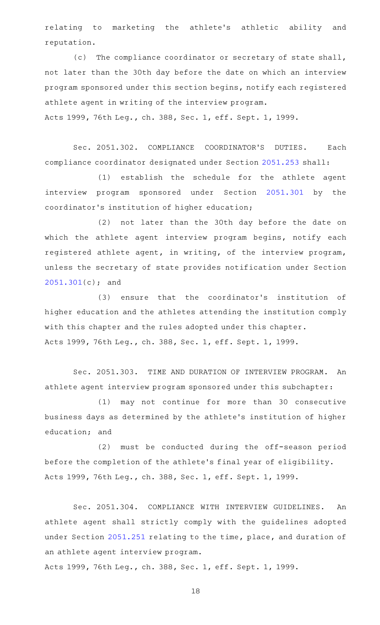relating to marketing the athlete's athletic ability and reputation.

(c) The compliance coordinator or secretary of state shall, not later than the 30th day before the date on which an interview program sponsored under this section begins, notify each registered athlete agent in writing of the interview program. Acts 1999, 76th Leg., ch. 388, Sec. 1, eff. Sept. 1, 1999.

Sec. 2051.302. COMPLIANCE COORDINATOR'S DUTIES. Each compliance coordinator designated under Section [2051.253](http://www.statutes.legis.state.tx.us/GetStatute.aspx?Code=OC&Value=2051.253) shall:

(1) establish the schedule for the athlete agent interview program sponsored under Section [2051.301](http://www.statutes.legis.state.tx.us/GetStatute.aspx?Code=OC&Value=2051.301) by the coordinator 's institution of higher education;

(2) not later than the 30th day before the date on which the athlete agent interview program begins, notify each registered athlete agent, in writing, of the interview program, unless the secretary of state provides notification under Section [2051.301](http://www.statutes.legis.state.tx.us/GetStatute.aspx?Code=OC&Value=2051.301)(c); and

(3) ensure that the coordinator's institution of higher education and the athletes attending the institution comply with this chapter and the rules adopted under this chapter. Acts 1999, 76th Leg., ch. 388, Sec. 1, eff. Sept. 1, 1999.

Sec. 2051.303. TIME AND DURATION OF INTERVIEW PROGRAM. An athlete agent interview program sponsored under this subchapter:

(1) may not continue for more than 30 consecutive business days as determined by the athlete 's institution of higher education; and

(2) must be conducted during the off-season period before the completion of the athlete 's final year of eligibility. Acts 1999, 76th Leg., ch. 388, Sec. 1, eff. Sept. 1, 1999.

Sec. 2051.304. COMPLIANCE WITH INTERVIEW GUIDELINES. An athlete agent shall strictly comply with the guidelines adopted under Section [2051.251](http://www.statutes.legis.state.tx.us/GetStatute.aspx?Code=OC&Value=2051.251) relating to the time, place, and duration of an athlete agent interview program.

Acts 1999, 76th Leg., ch. 388, Sec. 1, eff. Sept. 1, 1999.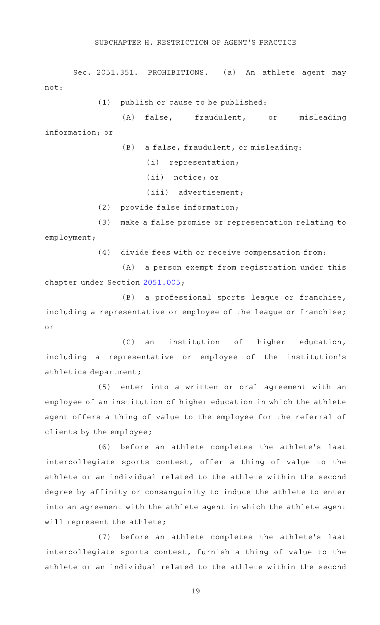#### SUBCHAPTER H. RESTRICTION OF AGENT 'S PRACTICE

Sec. 2051.351. PROHIBITIONS. (a) An athlete agent may not:

 $(1)$  publish or cause to be published:

(A) false, fraudulent, or misleading information; or

(B) a false, fraudulent, or misleading:

 $(i)$  representation;

(ii) notice; or

(iii) advertisement;

(2) provide false information;

(3) make a false promise or representation relating to employment;

(4) divide fees with or receive compensation from:

(A) a person exempt from registration under this chapter under Section [2051.005;](http://www.statutes.legis.state.tx.us/GetStatute.aspx?Code=OC&Value=2051.005)

 $(B)$  a professional sports league or franchise, including a representative or employee of the league or franchise; or

(C) an institution of higher education, including a representative or employee of the institution 's athletics department;

(5) enter into a written or oral agreement with an employee of an institution of higher education in which the athlete agent offers a thing of value to the employee for the referral of clients by the employee;

(6) before an athlete completes the athlete's last intercollegiate sports contest, offer a thing of value to the athlete or an individual related to the athlete within the second degree by affinity or consanguinity to induce the athlete to enter into an agreement with the athlete agent in which the athlete agent will represent the athlete;

(7) before an athlete completes the athlete's last intercollegiate sports contest, furnish a thing of value to the athlete or an individual related to the athlete within the second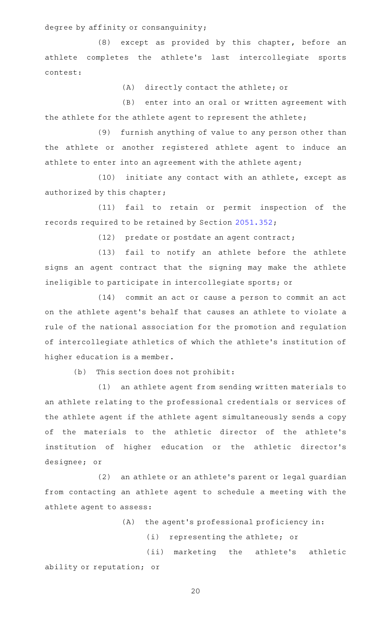degree by affinity or consanguinity;

 $(8)$  except as provided by this chapter, before an athlete completes the athlete's last intercollegiate sports contest:

(A) directly contact the athlete; or

(B) enter into an oral or written agreement with the athlete for the athlete agent to represent the athlete;

(9) furnish anything of value to any person other than the athlete or another registered athlete agent to induce an athlete to enter into an agreement with the athlete agent;

(10) initiate any contact with an athlete, except as authorized by this chapter;

(11) fail to retain or permit inspection of the records required to be retained by Section [2051.352](http://www.statutes.legis.state.tx.us/GetStatute.aspx?Code=OC&Value=2051.352);

(12) predate or postdate an agent contract;

(13) fail to notify an athlete before the athlete signs an agent contract that the signing may make the athlete ineligible to participate in intercollegiate sports; or

(14) commit an act or cause a person to commit an act on the athlete agent 's behalf that causes an athlete to violate a rule of the national association for the promotion and regulation of intercollegiate athletics of which the athlete 's institution of higher education is a member.

 $(b)$  This section does not prohibit:

(1) an athlete agent from sending written materials to an athlete relating to the professional credentials or services of the athlete agent if the athlete agent simultaneously sends a copy of the materials to the athletic director of the athlete's institution of higher education or the athletic director 's designee; or

(2) an athlete or an athlete's parent or legal guardian from contacting an athlete agent to schedule a meeting with the athlete agent to assess:

 $(A)$  the agent's professional proficiency in:

(i) representing the athlete; or

(ii) marketing the athlete's athletic ability or reputation; or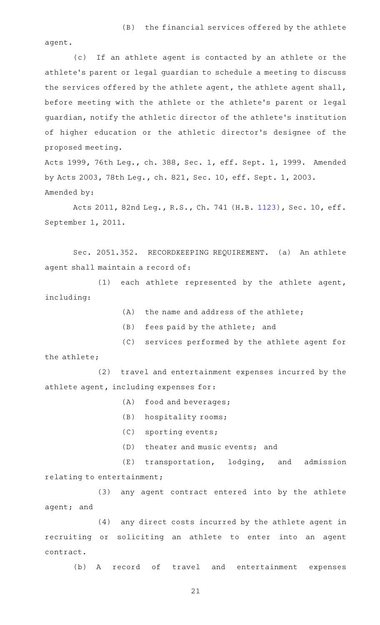agent.

(c) If an athlete agent is contacted by an athlete or the athlete 's parent or legal guardian to schedule a meeting to discuss the services offered by the athlete agent, the athlete agent shall, before meeting with the athlete or the athlete 's parent or legal guardian, notify the athletic director of the athlete 's institution of higher education or the athletic director 's designee of the proposed meeting.

Acts 1999, 76th Leg., ch. 388, Sec. 1, eff. Sept. 1, 1999. Amended by Acts 2003, 78th Leg., ch. 821, Sec. 10, eff. Sept. 1, 2003. Amended by:

Acts 2011, 82nd Leg., R.S., Ch. 741 (H.B. [1123\)](http://www.legis.state.tx.us/tlodocs/82R/billtext/html/HB01123F.HTM), Sec. 10, eff. September 1, 2011.

Sec. 2051.352. RECORDKEEPING REQUIREMENT. (a) An athlete agent shall maintain a record of:

 $(1)$  each athlete represented by the athlete agent, including:

- $(A)$  the name and address of the athlete;
- (B) fees paid by the athlete; and
- (C) services performed by the athlete agent for

the athlete;

(2) travel and entertainment expenses incurred by the athlete agent, including expenses for:

- $(A)$  food and beverages;
- $(B)$  hospitality rooms;
- (C) sporting events;
- (D) theater and music events; and

 $(E)$  transportation, lodging, and admission relating to entertainment;

(3) any agent contract entered into by the athlete agent; and

(4) any direct costs incurred by the athlete agent in recruiting or soliciting an athlete to enter into an agent contract.

(b) A record of travel and entertainment expenses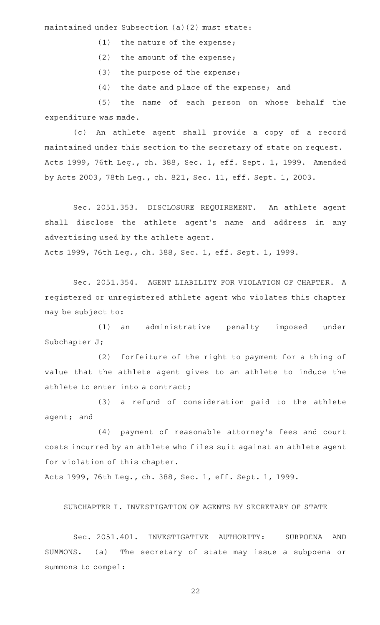maintained under Subsection (a)(2) must state:

- $(1)$  the nature of the expense;
- (2) the amount of the expense;
- (3) the purpose of the expense;
- (4) the date and place of the expense; and

(5) the name of each person on whose behalf the expenditure was made.

(c) An athlete agent shall provide a copy of a record maintained under this section to the secretary of state on request. Acts 1999, 76th Leg., ch. 388, Sec. 1, eff. Sept. 1, 1999. Amended by Acts 2003, 78th Leg., ch. 821, Sec. 11, eff. Sept. 1, 2003.

Sec. 2051.353. DISCLOSURE REQUIREMENT. An athlete agent shall disclose the athlete agent 's name and address in any advertising used by the athlete agent. Acts 1999, 76th Leg., ch. 388, Sec. 1, eff. Sept. 1, 1999.

Sec. 2051.354. AGENT LIABILITY FOR VIOLATION OF CHAPTER. A registered or unregistered athlete agent who violates this chapter may be subject to:

(1) an administrative penalty imposed under Subchapter J;

(2) forfeiture of the right to payment for a thing of value that the athlete agent gives to an athlete to induce the athlete to enter into a contract;

(3) a refund of consideration paid to the athlete agent; and

(4) payment of reasonable attorney's fees and court costs incurred by an athlete who files suit against an athlete agent for violation of this chapter.

Acts 1999, 76th Leg., ch. 388, Sec. 1, eff. Sept. 1, 1999.

SUBCHAPTER I. INVESTIGATION OF AGENTS BY SECRETARY OF STATE

Sec. 2051.401. INVESTIGATIVE AUTHORITY: SUBPOENA AND SUMMONS. (a) The secretary of state may issue a subpoena or summons to compel: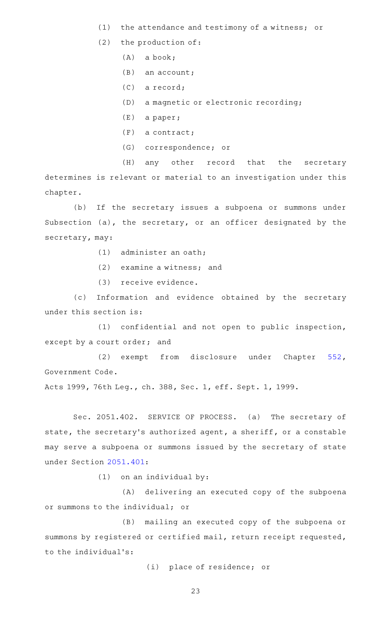- (1) the attendance and testimony of a witness; or
- $(2)$  the production of:
	- $(A)$  a book;
	- $(B)$  an account;
	- $(C)$  a record;
	- (D) a magnetic or electronic recording;
	- $(E)$  a paper;
	- $(F)$  a contract;
	- (G) correspondence; or

(H) any other record that the secretary determines is relevant or material to an investigation under this chapter.

(b) If the secretary issues a subpoena or summons under Subsection (a), the secretary, or an officer designated by the secretary, may:

- $(1)$  administer an oath;
- $(2)$  examine a witness; and
- (3) receive evidence.

(c) Information and evidence obtained by the secretary under this section is:

 $(1)$  confidential and not open to public inspection, except by a court order; and

(2) exempt from disclosure under Chapter [552](http://www.statutes.legis.state.tx.us/GetStatute.aspx?Code=GV&Value=552), Government Code.

Acts 1999, 76th Leg., ch. 388, Sec. 1, eff. Sept. 1, 1999.

Sec. 2051.402. SERVICE OF PROCESS. (a) The secretary of state, the secretary 's authorized agent, a sheriff, or a constable may serve a subpoena or summons issued by the secretary of state under Section [2051.401](http://www.statutes.legis.state.tx.us/GetStatute.aspx?Code=OC&Value=2051.401):

 $(1)$  on an individual by:

(A) delivering an executed copy of the subpoena or summons to the individual; or

(B) mailing an executed copy of the subpoena or summons by registered or certified mail, return receipt requested, to the individual 's:

(i) place of residence; or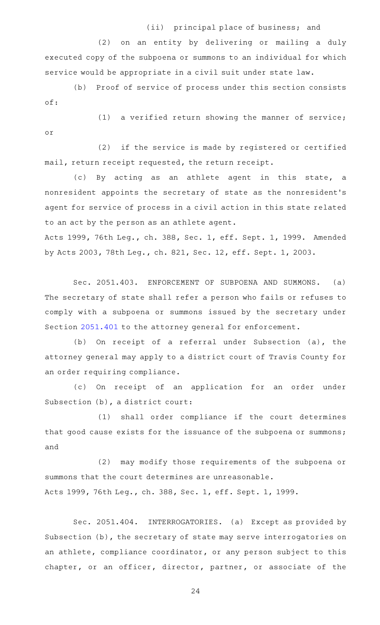# (ii) principal place of business; and

(2) on an entity by delivering or mailing a duly executed copy of the subpoena or summons to an individual for which service would be appropriate in a civil suit under state law.

(b) Proof of service of process under this section consists of:

 $(1)$  a verified return showing the manner of service; or

 $(2)$  if the service is made by registered or certified mail, return receipt requested, the return receipt.

(c) By acting as an athlete agent in this state, a nonresident appoints the secretary of state as the nonresident 's agent for service of process in a civil action in this state related to an act by the person as an athlete agent.

Acts 1999, 76th Leg., ch. 388, Sec. 1, eff. Sept. 1, 1999. Amended by Acts 2003, 78th Leg., ch. 821, Sec. 12, eff. Sept. 1, 2003.

Sec. 2051.403. ENFORCEMENT OF SUBPOENA AND SUMMONS. (a) The secretary of state shall refer a person who fails or refuses to comply with a subpoena or summons issued by the secretary under Section [2051.401](http://www.statutes.legis.state.tx.us/GetStatute.aspx?Code=OC&Value=2051.401) to the attorney general for enforcement.

(b) On receipt of a referral under Subsection (a), the attorney general may apply to a district court of Travis County for an order requiring compliance.

(c) On receipt of an application for an order under Subsection (b), a district court:

(1) shall order compliance if the court determines that good cause exists for the issuance of the subpoena or summons; and

(2) may modify those requirements of the subpoena or summons that the court determines are unreasonable. Acts 1999, 76th Leg., ch. 388, Sec. 1, eff. Sept. 1, 1999.

Sec. 2051.404. INTERROGATORIES. (a) Except as provided by Subsection (b), the secretary of state may serve interrogatories on an athlete, compliance coordinator, or any person subject to this chapter, or an officer, director, partner, or associate of the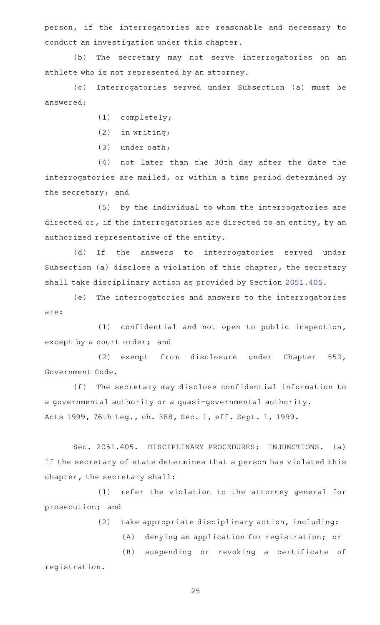person, if the interrogatories are reasonable and necessary to conduct an investigation under this chapter.

(b) The secretary may not serve interrogatories on an athlete who is not represented by an attorney.

(c) Interrogatories served under Subsection (a) must be answered:

 $(1)$  completely;

 $(2)$  in writing;

 $(3)$  under oath;

(4) not later than the 30th day after the date the interrogatories are mailed, or within a time period determined by the secretary; and

(5) by the individual to whom the interrogatories are directed or, if the interrogatories are directed to an entity, by an authorized representative of the entity.

(d) If the answers to interrogatories served under Subsection (a) disclose a violation of this chapter, the secretary shall take disciplinary action as provided by Section [2051.405.](http://www.statutes.legis.state.tx.us/GetStatute.aspx?Code=OC&Value=2051.405)

(e) The interrogatories and answers to the interrogatories are:

 $(1)$  confidential and not open to public inspection, except by a court order; and

(2) exempt from disclosure under Chapter [552](http://www.statutes.legis.state.tx.us/GetStatute.aspx?Code=GV&Value=552), Government Code.

(f) The secretary may disclose confidential information to a governmental authority or a quasi-governmental authority. Acts 1999, 76th Leg., ch. 388, Sec. 1, eff. Sept. 1, 1999.

Sec. 2051.405. DISCIPLINARY PROCEDURES; INJUNCTIONS. (a) If the secretary of state determines that a person has violated this chapter, the secretary shall:

(1) refer the violation to the attorney general for prosecution; and

(2) take appropriate disciplinary action, including:

(A) denying an application for registration; or

(B) suspending or revoking a certificate of registration.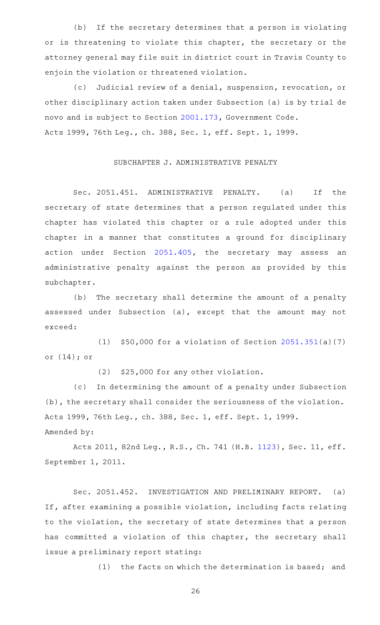(b) If the secretary determines that a person is violating or is threatening to violate this chapter, the secretary or the attorney general may file suit in district court in Travis County to enjoin the violation or threatened violation.

(c) Judicial review of a denial, suspension, revocation, or other disciplinary action taken under Subsection (a) is by trial de novo and is subject to Section [2001.173](http://www.statutes.legis.state.tx.us/GetStatute.aspx?Code=GV&Value=2001.173), Government Code. Acts 1999, 76th Leg., ch. 388, Sec. 1, eff. Sept. 1, 1999.

#### SUBCHAPTER J. ADMINISTRATIVE PENALTY

Sec. 2051.451. ADMINISTRATIVE PENALTY. (a) If the secretary of state determines that a person regulated under this chapter has violated this chapter or a rule adopted under this chapter in a manner that constitutes a ground for disciplinary action under Section [2051.405,](http://www.statutes.legis.state.tx.us/GetStatute.aspx?Code=OC&Value=2051.405) the secretary may assess an administrative penalty against the person as provided by this subchapter.

(b) The secretary shall determine the amount of a penalty assessed under Subsection (a), except that the amount may not exceed:

(1)  $$50,000$  for a violation of Section [2051.351\(](http://www.statutes.legis.state.tx.us/GetStatute.aspx?Code=OC&Value=2051.351)a)(7) or (14); or

(2) \$25,000 for any other violation.

(c) In determining the amount of a penalty under Subsection (b), the secretary shall consider the seriousness of the violation. Acts 1999, 76th Leg., ch. 388, Sec. 1, eff. Sept. 1, 1999. Amended by:

Acts 2011, 82nd Leg., R.S., Ch. 741 (H.B. [1123\)](http://www.legis.state.tx.us/tlodocs/82R/billtext/html/HB01123F.HTM), Sec. 11, eff. September 1, 2011.

Sec. 2051.452. INVESTIGATION AND PRELIMINARY REPORT. (a) If, after examining a possible violation, including facts relating to the violation, the secretary of state determines that a person has committed a violation of this chapter, the secretary shall issue a preliminary report stating:

(1) the facts on which the determination is based; and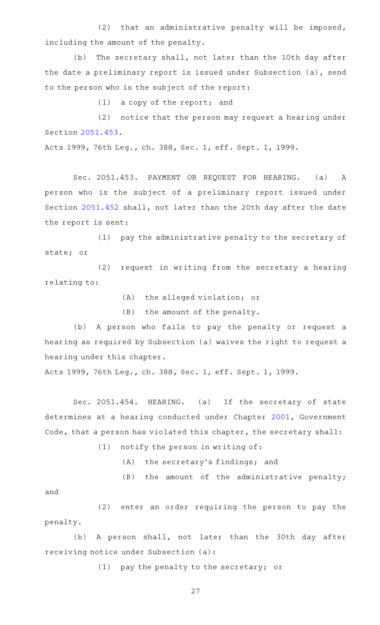(2) that an administrative penalty will be imposed, including the amount of the penalty.

(b) The secretary shall, not later than the 10th day after the date a preliminary report is issued under Subsection (a), send to the person who is the subject of the report:

 $(1)$  a copy of the report; and

(2) notice that the person may request a hearing under Section [2051.453](http://www.statutes.legis.state.tx.us/GetStatute.aspx?Code=OC&Value=2051.453).

Acts 1999, 76th Leg., ch. 388, Sec. 1, eff. Sept. 1, 1999.

Sec. 2051.453. PAYMENT OR REQUEST FOR HEARING. (a) A person who is the subject of a preliminary report issued under Section [2051.452](http://www.statutes.legis.state.tx.us/GetStatute.aspx?Code=OC&Value=2051.452) shall, not later than the 20th day after the date the report is sent:

(1) pay the administrative penalty to the secretary of state; or

(2) request in writing from the secretary a hearing relating to:

(A) the alleged violation; or

 $(B)$  the amount of the penalty.

(b) A person who fails to pay the penalty or request a hearing as required by Subsection (a) waives the right to request a hearing under this chapter.

Acts 1999, 76th Leg., ch. 388, Sec. 1, eff. Sept. 1, 1999.

Sec. 2051.454. HEARING. (a) If the secretary of state determines at a hearing conducted under Chapter [2001](http://www.statutes.legis.state.tx.us/GetStatute.aspx?Code=GV&Value=2001), Government Code, that a person has violated this chapter, the secretary shall:

 $(1)$  notify the person in writing of:

- $(A)$  the secretary's findings; and
- $(B)$  the amount of the administrative penalty;

and

(2) enter an order requiring the person to pay the penalty.

(b) A person shall, not later than the 30th day after receiving notice under Subsection (a):

(1) pay the penalty to the secretary; or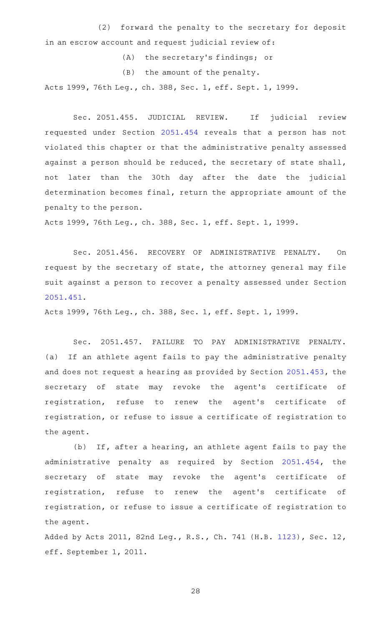(2) forward the penalty to the secretary for deposit in an escrow account and request judicial review of:

- (A) the secretary's findings; or
- (B) the amount of the penalty.

Acts 1999, 76th Leg., ch. 388, Sec. 1, eff. Sept. 1, 1999.

Sec. 2051.455. JUDICIAL REVIEW. If judicial review requested under Section [2051.454](http://www.statutes.legis.state.tx.us/GetStatute.aspx?Code=OC&Value=2051.454) reveals that a person has not violated this chapter or that the administrative penalty assessed against a person should be reduced, the secretary of state shall, not later than the 30th day after the date the judicial determination becomes final, return the appropriate amount of the penalty to the person.

Acts 1999, 76th Leg., ch. 388, Sec. 1, eff. Sept. 1, 1999.

Sec. 2051.456. RECOVERY OF ADMINISTRATIVE PENALTY. On request by the secretary of state, the attorney general may file suit against a person to recover a penalty assessed under Section [2051.451](http://www.statutes.legis.state.tx.us/GetStatute.aspx?Code=OC&Value=2051.451).

Acts 1999, 76th Leg., ch. 388, Sec. 1, eff. Sept. 1, 1999.

Sec. 2051.457. FAILURE TO PAY ADMINISTRATIVE PENALTY. (a) If an athlete agent fails to pay the administrative penalty and does not request a hearing as provided by Section [2051.453](http://www.statutes.legis.state.tx.us/GetStatute.aspx?Code=OC&Value=2051.453), the secretary of state may revoke the agent's certificate of registration, refuse to renew the agent 's certificate of registration, or refuse to issue a certificate of registration to the agent.

(b) If, after a hearing, an athlete agent fails to pay the administrative penalty as required by Section [2051.454](http://www.statutes.legis.state.tx.us/GetStatute.aspx?Code=OC&Value=2051.454), the secretary of state may revoke the agent's certificate of registration, refuse to renew the agent 's certificate of registration, or refuse to issue a certificate of registration to the agent.

Added by Acts 2011, 82nd Leg., R.S., Ch. 741 (H.B. [1123\)](http://www.legis.state.tx.us/tlodocs/82R/billtext/html/HB01123F.HTM), Sec. 12, eff. September 1, 2011.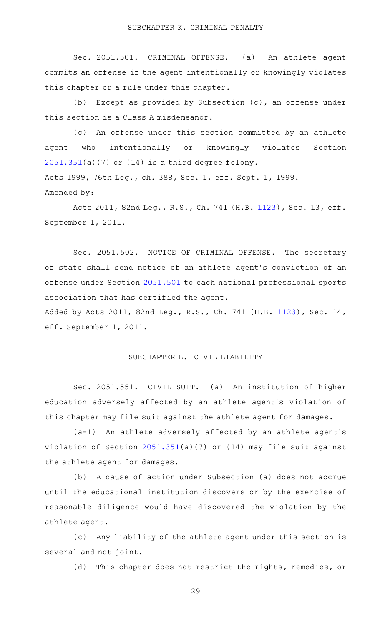Sec. 2051.501. CRIMINAL OFFENSE. (a) An athlete agent commits an offense if the agent intentionally or knowingly violates this chapter or a rule under this chapter.

(b) Except as provided by Subsection  $(c)$ , an offense under this section is a Class A misdemeanor.

(c) An offense under this section committed by an athlete agent who intentionally or knowingly violates Section  $2051.351(a)(7)$  $2051.351(a)(7)$  or  $(14)$  is a third degree felony. Acts 1999, 76th Leg., ch. 388, Sec. 1, eff. Sept. 1, 1999. Amended by:

Acts 2011, 82nd Leg., R.S., Ch. 741 (H.B. [1123\)](http://www.legis.state.tx.us/tlodocs/82R/billtext/html/HB01123F.HTM), Sec. 13, eff. September 1, 2011.

Sec. 2051.502. NOTICE OF CRIMINAL OFFENSE. The secretary of state shall send notice of an athlete agent 's conviction of an offense under Section [2051.501](http://www.statutes.legis.state.tx.us/GetStatute.aspx?Code=OC&Value=2051.501) to each national professional sports association that has certified the agent.

Added by Acts 2011, 82nd Leg., R.S., Ch. 741 (H.B. [1123\)](http://www.legis.state.tx.us/tlodocs/82R/billtext/html/HB01123F.HTM), Sec. 14, eff. September 1, 2011.

# SUBCHAPTER L. CIVIL LIABILITY

Sec. 2051.551. CIVIL SUIT. (a) An institution of higher education adversely affected by an athlete agent 's violation of this chapter may file suit against the athlete agent for damages.

(a-1) An athlete adversely affected by an athlete agent's violation of Section [2051.351](http://www.statutes.legis.state.tx.us/GetStatute.aspx?Code=OC&Value=2051.351)(a)(7) or (14) may file suit against the athlete agent for damages.

(b) A cause of action under Subsection (a) does not accrue until the educational institution discovers or by the exercise of reasonable diligence would have discovered the violation by the athlete agent.

(c) Any liability of the athlete agent under this section is several and not joint.

(d) This chapter does not restrict the rights, remedies, or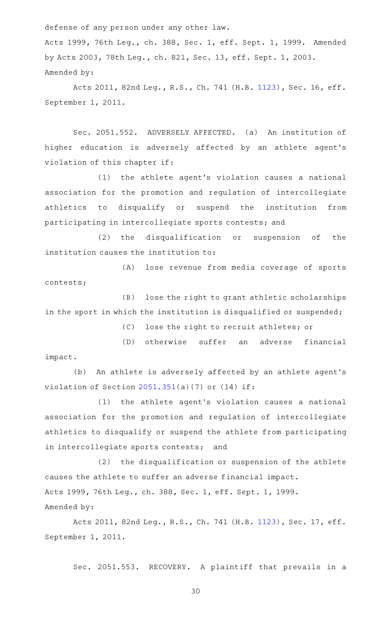defense of any person under any other law.

Acts 1999, 76th Leg., ch. 388, Sec. 1, eff. Sept. 1, 1999. Amended by Acts 2003, 78th Leg., ch. 821, Sec. 13, eff. Sept. 1, 2003. Amended by:

Acts 2011, 82nd Leg., R.S., Ch. 741 (H.B. [1123\)](http://www.legis.state.tx.us/tlodocs/82R/billtext/html/HB01123F.HTM), Sec. 16, eff. September 1, 2011.

Sec. 2051.552. ADVERSELY AFFECTED. (a) An institution of higher education is adversely affected by an athlete agent 's violation of this chapter if:

(1) the athlete agent's violation causes a national association for the promotion and regulation of intercollegiate athletics to disqualify or suspend the institution from participating in intercollegiate sports contests; and

(2) the disqualification or suspension of the institution causes the institution to:

(A) lose revenue from media coverage of sports contests;

(B) lose the right to grant athletic scholarships in the sport in which the institution is disqualified or suspended;

(C) lose the right to recruit athletes; or

(D) otherwise suffer an adverse financial impact.

(b) An athlete is adversely affected by an athlete agent's violation of Section  $2051.351(a)(7)$  $2051.351(a)(7)$  or  $(14)$  if:

(1) the athlete agent's violation causes a national association for the promotion and regulation of intercollegiate athletics to disqualify or suspend the athlete from participating in intercollegiate sports contests; and

(2) the disqualification or suspension of the athlete causes the athlete to suffer an adverse financial impact. Acts 1999, 76th Leg., ch. 388, Sec. 1, eff. Sept. 1, 1999. Amended by:

Acts 2011, 82nd Leg., R.S., Ch. 741 (H.B. [1123\)](http://www.legis.state.tx.us/tlodocs/82R/billtext/html/HB01123F.HTM), Sec. 17, eff. September 1, 2011.

Sec. 2051.553. RECOVERY. A plaintiff that prevails in a